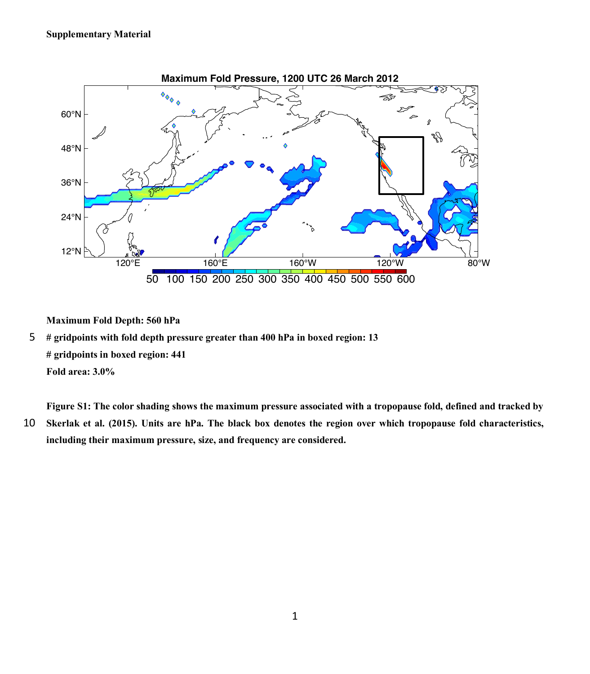

**Maximum Fold Depth: 560 hPa** 

5 **# gridpoints with fold depth pressure greater than 400 hPa in boxed region: 13 # gridpoints in boxed region: 441 Fold area: 3.0%** 

**Figure S1: The color shading shows the maximum pressure associated with a tropopause fold, defined and tracked by**  10 **Skerlak et al. (2015). Units are hPa. The black box denotes the region over which tropopause fold characteristics, including their maximum pressure, size, and frequency are considered.**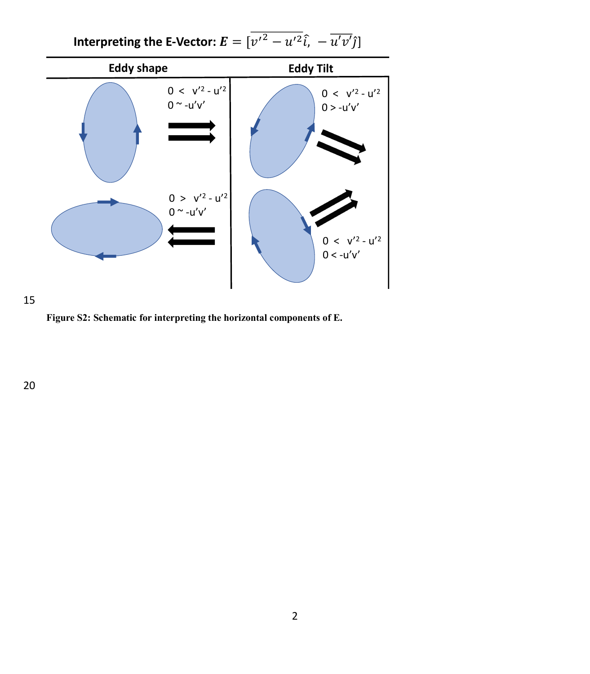



15

**Figure S2: Schematic for interpreting the horizontal components of E.**

20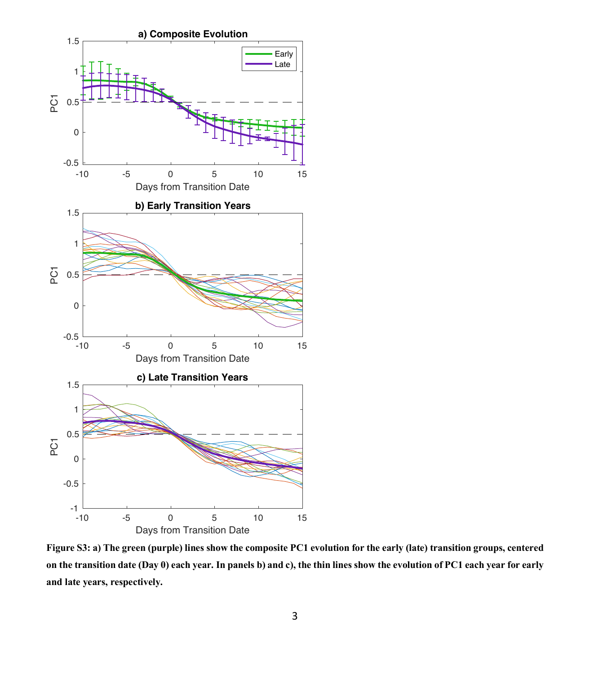

**Figure S3: a) The green (purple) lines show the composite PC1 evolution for the early (late) transition groups, centered on the transition date (Day 0) each year. In panels b) and c), the thin lines show the evolution of PC1 each year for early and late years, respectively.**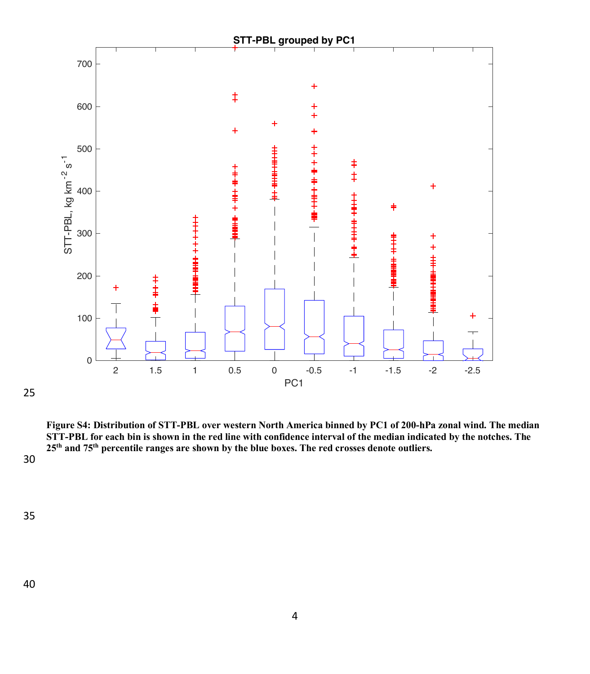

**Figure S4: Distribution of STT-PBL over western North America binned by PC1 of 200-hPa zonal wind. The median STT-PBL for each bin is shown in the red line with confidence interval of the median indicated by the notches. The 25th and 75th percentile ranges are shown by the blue boxes. The red crosses denote outliers.**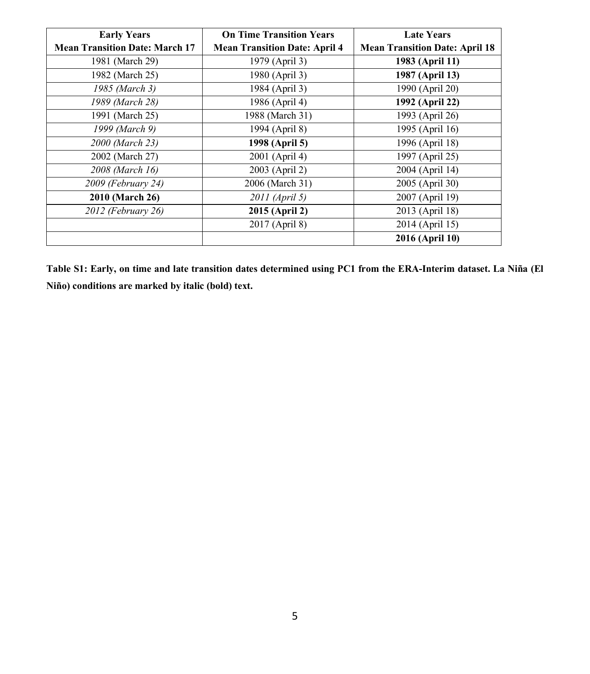| <b>Early Years</b>                    | <b>On Time Transition Years</b>      | <b>Late Years</b>                     |
|---------------------------------------|--------------------------------------|---------------------------------------|
| <b>Mean Transition Date: March 17</b> | <b>Mean Transition Date: April 4</b> | <b>Mean Transition Date: April 18</b> |
| 1981 (March 29)                       | 1979 (April 3)                       | 1983 (April 11)                       |
| 1982 (March 25)                       | 1980 (April 3)                       | 1987 (April 13)                       |
| 1985 (March 3)                        | 1984 (April 3)                       | 1990 (April 20)                       |
| 1989 (March 28)                       | 1986 (April 4)                       | 1992 (April 22)                       |
| 1991 (March 25)                       | 1988 (March 31)                      | 1993 (April 26)                       |
| 1999 (March 9)                        | 1994 (April 8)                       | 1995 (April 16)                       |
| 2000 (March 23)                       | 1998 (April 5)                       | 1996 (April 18)                       |
| 2002 (March 27)                       | 2001 (April 4)                       | 1997 (April 25)                       |
| 2008 (March 16)                       | 2003 (April 2)                       | 2004 (April 14)                       |
| 2009 (February 24)                    | 2006 (March 31)                      | 2005 (April 30)                       |
| 2010 (March 26)                       | 2011 (April 5)                       | 2007 (April 19)                       |
| 2012 (February 26)                    | 2015 (April 2)                       | 2013 (April 18)                       |
|                                       | 2017 (April 8)                       | 2014 (April 15)                       |
|                                       |                                      | 2016 (April 10)                       |

**Table S1: Early, on time and late transition dates determined using PC1 from the ERA-Interim dataset. La Niña (El Niño) conditions are marked by italic (bold) text.**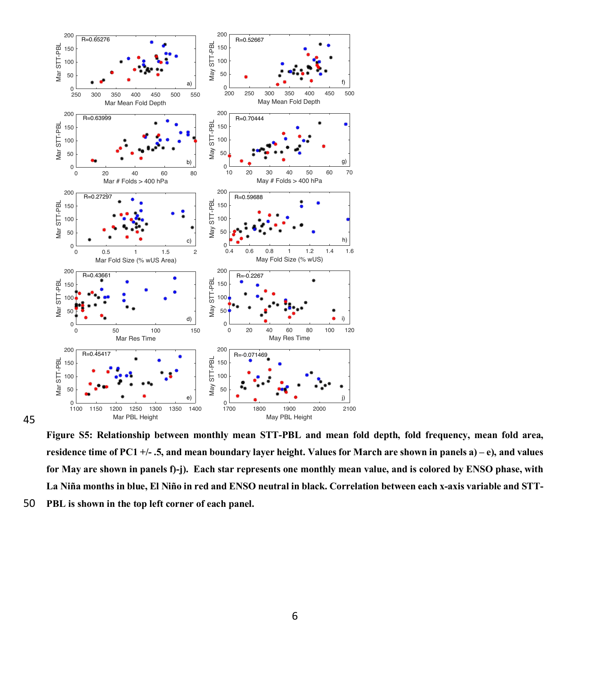

45

**Figure S5: Relationship between monthly mean STT-PBL and mean fold depth, fold frequency, mean fold area, residence time of PC1 +/- .5, and mean boundary layer height. Values for March are shown in panels a) – e), and values for May are shown in panels f)-j). Each star represents one monthly mean value, and is colored by ENSO phase, with La Niña months in blue, El Niño in red and ENSO neutral in black. Correlation between each x-axis variable and STT-**50 **PBL is shown in the top left corner of each panel.**